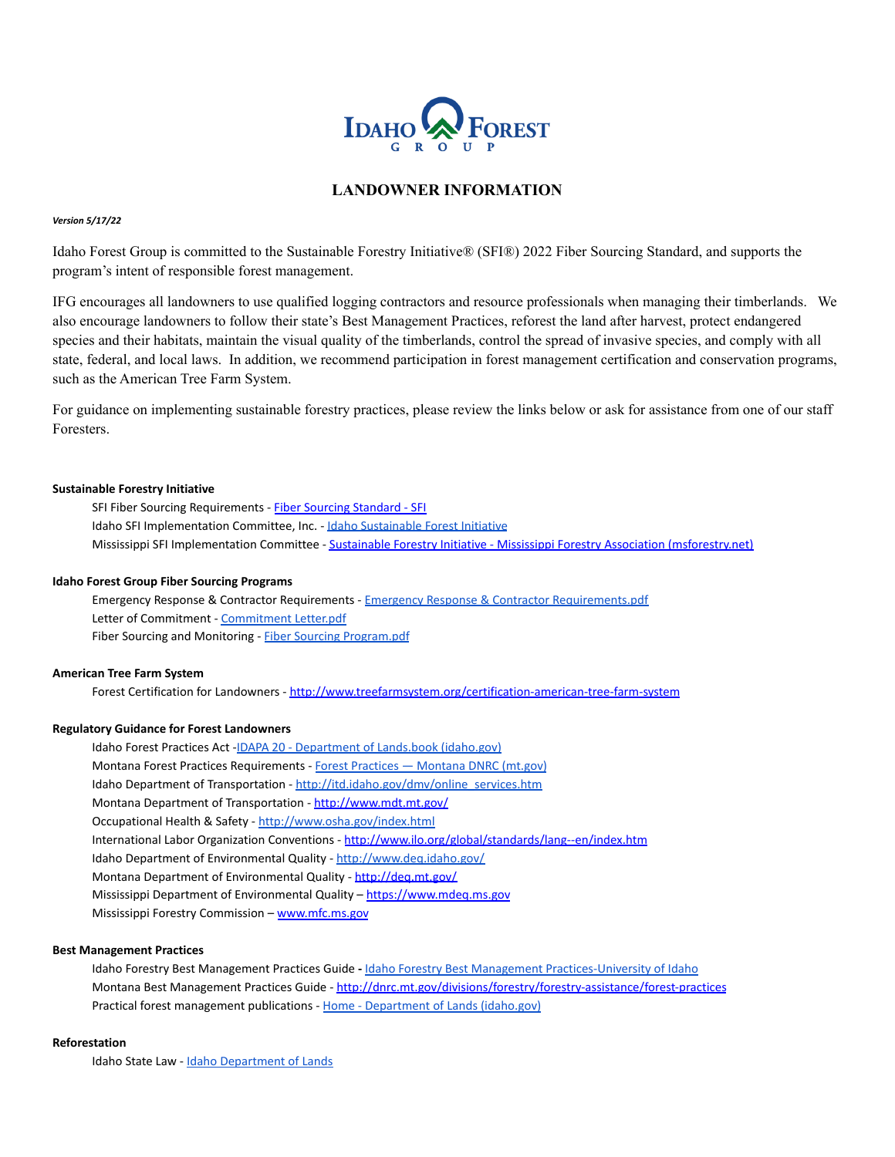

# **LANDOWNER INFORMATION**

### *Version 5/17/22*

Idaho Forest Group is committed to the Sustainable Forestry Initiative® (SFI®) 2022 Fiber Sourcing Standard, and supports the program's intent of responsible forest management.

IFG encourages all landowners to use qualified logging contractors and resource professionals when managing their timberlands. We also encourage landowners to follow their state's Best Management Practices, reforest the land after harvest, protect endangered species and their habitats, maintain the visual quality of the timberlands, control the spread of invasive species, and comply with all state, federal, and local laws. In addition, we recommend participation in forest management certification and conservation programs, such as the American Tree Farm System.

For guidance on implementing sustainable forestry practices, please review the links below or ask for assistance from one of our staff Foresters.

## **Sustainable Forestry Initiative**

SFI Fiber Sourcing Requirements - [Fiber Sourcing Standard](http://www.sfiprogram.org/sfi-standard/fiber-sourcing-standard/) - SFI Idaho SFI Implementation Committee, Inc. - [Idaho Sustainable](http://idahosfi.org/) Forest Initiative Mississippi SFI Implementation Committee - Sustainable [Forestry Initiative - Mississippi Forestry Association \(msforestry.net\)](https://www.msforestry.net/page/SFI)

## **Idaho Forest Group Fiber Sourcing Programs**

Emergency Response & Contractor Requirements - Emergency [Response & Contractor Requirements.pdf](https://ifg.com/wp-content/uploads/2022/05/SFI-Pamphlet-and-Emergency-Numbers-2020.pdf) Letter of Commitment - [Commitment Letter.pdf](https://ifg.com/wp-content/uploads/2022/05/IFG-SFI-2022-Commitment-Letter.pdf) Fiber Sourcing and Monitoring - [Fiber Sourcing Program.pdf](https://ifg.com/wp-content/uploads/2022/05/SFI-Fiber-Sourcing-and-BMP-Monitoring-Program.pdf)

## **American Tree Farm System**

Forest Certification for Landowners - <http://www.treefarmsystem.org/certification-american-tree-farm-system>

## **Regulatory Guidance for Forest Landowners**

Idaho Forest Practices Act -IDAPA 20 - Department [of Lands.book \(idaho.gov\)](https://adminrules.idaho.gov/rules/current/20/200201.pdf) Montana Forest Practices Requirements - [F](http://dnrc.mt.gov/divisions/forestry/docs/assistance/practices/2013ds120.pdf)orest Practices [— Montana DNRC \(mt.gov\)](http://dnrc.mt.gov/divisions/forestry/forestry-assistance/forest-practices) Idaho Department of Transportation - [http://itd.idaho.gov/dmv/online\\_services.htm](http://itd.idaho.gov/dmv/online_services.htm) Montana Department of Transportation - <http://www.mdt.mt.gov/> Occupational Health & Safety - <http://www.osha.gov/index.html> International Labor Organization Conventions - <http://www.ilo.org/global/standards/lang--en/index.htm> Idaho Department of Environmental Quality - <http://www.deq.idaho.gov/> Montana Department of Environmental Quality - <http://deq.mt.gov/> Mississippi Department of Environmental Quality – https://www.mdeg.ms.gov Mississippi Forestry Commission - [www.mfc.ms.gov](http://www.mfc.ms.gov)

## **Best Management Practices**

Idaho Forestry Best Management Practices Guide **-** Idaho [Forestry Best Management Practices-University of Idaho](http://www.uidaho.edu/extension/idahoforestrybmps) Montana Best Management Practices Guide - <http://dnrc.mt.gov/divisions/forestry/forestry-assistance/forest-practices> Practical forest management publications - [H](http://www.idl.idaho.gov/forestry/forester-forums/index.html)ome - [Department of Lands \(idaho.gov\)](https://www.idl.idaho.gov/)

## **Reforestation**

Idaho State Law - [Idaho Department of Lands](http://www.idl.idaho.gov/forestry/fpa/index.html)